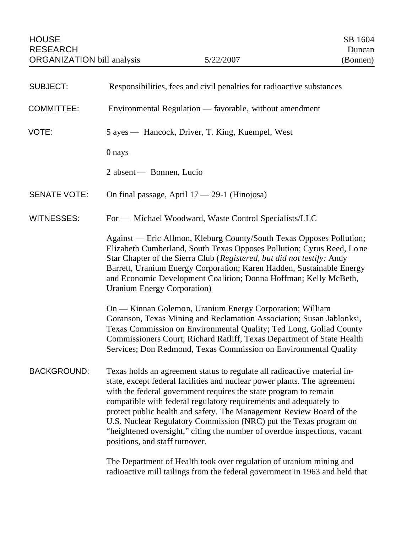| <b>SUBJECT:</b>     | Responsibilities, fees and civil penalties for radioactive substances                                                                                                                                                                                                                                                                                                                                                                                                                                                                                    |
|---------------------|----------------------------------------------------------------------------------------------------------------------------------------------------------------------------------------------------------------------------------------------------------------------------------------------------------------------------------------------------------------------------------------------------------------------------------------------------------------------------------------------------------------------------------------------------------|
| <b>COMMITTEE:</b>   | Environmental Regulation — favorable, without amendment                                                                                                                                                                                                                                                                                                                                                                                                                                                                                                  |
| VOTE:               | 5 ayes — Hancock, Driver, T. King, Kuempel, West                                                                                                                                                                                                                                                                                                                                                                                                                                                                                                         |
|                     | 0 nays                                                                                                                                                                                                                                                                                                                                                                                                                                                                                                                                                   |
|                     | 2 absent — Bonnen, Lucio                                                                                                                                                                                                                                                                                                                                                                                                                                                                                                                                 |
| <b>SENATE VOTE:</b> | On final passage, April $17 - 29 - 1$ (Hinojosa)                                                                                                                                                                                                                                                                                                                                                                                                                                                                                                         |
| WITNESSES:          | For — Michael Woodward, Waste Control Specialists/LLC                                                                                                                                                                                                                                                                                                                                                                                                                                                                                                    |
|                     | Against — Eric Allmon, Kleburg County/South Texas Opposes Pollution;<br>Elizabeth Cumberland, South Texas Opposes Pollution; Cyrus Reed, Lone<br>Star Chapter of the Sierra Club (Registered, but did not testify: Andy<br>Barrett, Uranium Energy Corporation; Karen Hadden, Sustainable Energy<br>and Economic Development Coalition; Donna Hoffman; Kelly McBeth,<br><b>Uranium Energy Corporation</b> )                                                                                                                                              |
|                     | On — Kinnan Golemon, Uranium Energy Corporation; William<br>Goranson, Texas Mining and Reclamation Association; Susan Jablonksi,<br>Texas Commission on Environmental Quality; Ted Long, Goliad County<br>Commissioners Court; Richard Ratliff, Texas Department of State Health<br>Services; Don Redmond, Texas Commission on Environmental Quality                                                                                                                                                                                                     |
| <b>BACKGROUND:</b>  | Texas holds an agreement status to regulate all radioactive material in-<br>state, except federal facilities and nuclear power plants. The agreement<br>with the federal government requires the state program to remain<br>compatible with federal regulatory requirements and adequately to<br>protect public health and safety. The Management Review Board of the<br>U.S. Nuclear Regulatory Commission (NRC) put the Texas program on<br>"heightened oversight," citing the number of overdue inspections, vacant<br>positions, and staff turnover. |
|                     | The Department of Health took over regulation of uranium mining and<br>radioactive mill tailings from the federal government in 1963 and held that                                                                                                                                                                                                                                                                                                                                                                                                       |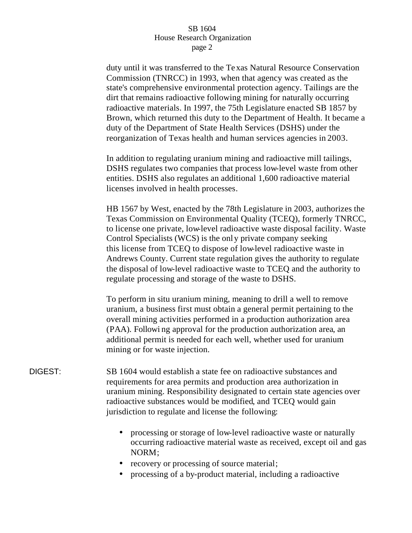duty until it was transferred to the Texas Natural Resource Conservation Commission (TNRCC) in 1993, when that agency was created as the state's comprehensive environmental protection agency. Tailings are the dirt that remains radioactive following mining for naturally occurring radioactive materials. In 1997, the 75th Legislature enacted SB 1857 by Brown, which returned this duty to the Department of Health. It became a duty of the Department of State Health Services (DSHS) under the reorganization of Texas health and human services agencies in 2003.

In addition to regulating uranium mining and radioactive mill tailings, DSHS regulates two companies that process low-level waste from other entities. DSHS also regulates an additional 1,600 radioactive material licenses involved in health processes.

HB 1567 by West, enacted by the 78th Legislature in 2003, authorizes the Texas Commission on Environmental Quality (TCEQ), formerly TNRCC, to license one private, low-level radioactive waste disposal facility. Waste Control Specialists (WCS) is the onl y private company seeking this license from TCEQ to dispose of low-level radioactive waste in Andrews County. Current state regulation gives the authority to regulate the disposal of low-level radioactive waste to TCEQ and the authority to regulate processing and storage of the waste to DSHS.

To perform in situ uranium mining, meaning to drill a well to remove uranium, a business first must obtain a general permit pertaining to the overall mining activities performed in a production authorization area (PAA). Followi ng approval for the production authorization area, an additional permit is needed for each well, whether used for uranium mining or for waste injection.

DIGEST: SB 1604 would establish a state fee on radioactive substances and requirements for area permits and production area authorization in uranium mining. Responsibility designated to certain state agencies over radioactive substances would be modified, and TCEQ would gain jurisdiction to regulate and license the following:

- processing or storage of low-level radioactive waste or naturally occurring radioactive material waste as received, except oil and gas NORM;
- recovery or processing of source material;
- processing of a by-product material, including a radioactive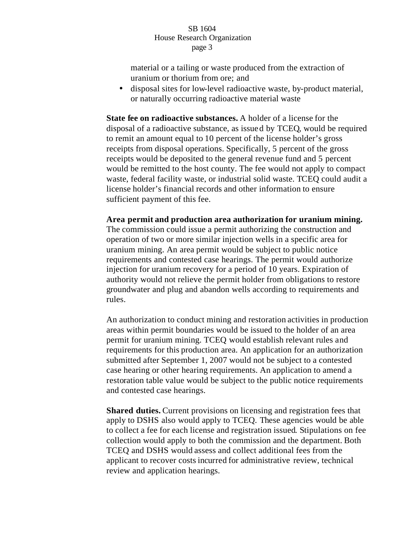material or a tailing or waste produced from the extraction of uranium or thorium from ore; and

• disposal sites for low-level radioactive waste, by-product material, or naturally occurring radioactive material waste

**State fee on radioactive substances.** A holder of a license for the disposal of a radioactive substance, as issued by TCEQ, would be required to remit an amount equal to 10 percent of the license holder's gross receipts from disposal operations. Specifically, 5 percent of the gross receipts would be deposited to the general revenue fund and 5 percent would be remitted to the host county. The fee would not apply to compact waste, federal facility waste, or industrial solid waste. TCEQ could audit a license holder's financial records and other information to ensure sufficient payment of this fee.

## **Area permit and production area authorization for uranium mining.**

The commission could issue a permit authorizing the construction and operation of two or more similar injection wells in a specific area for uranium mining. An area permit would be subject to public notice requirements and contested case hearings. The permit would authorize injection for uranium recovery for a period of 10 years. Expiration of authority would not relieve the permit holder from obligations to restore groundwater and plug and abandon wells according to requirements and rules.

An authorization to conduct mining and restoration activities in production areas within permit boundaries would be issued to the holder of an area permit for uranium mining. TCEQ would establish relevant rules and requirements for this production area. An application for an authorization submitted after September 1, 2007 would not be subject to a contested case hearing or other hearing requirements. An application to amend a restoration table value would be subject to the public notice requirements and contested case hearings.

**Shared duties.** Current provisions on licensing and registration fees that apply to DSHS also would apply to TCEQ. These agencies would be able to collect a fee for each license and registration issued. Stipulations on fee collection would apply to both the commission and the department. Both TCEQ and DSHS would assess and collect additional fees from the applicant to recover costs incurred for administrative review, technical review and application hearings.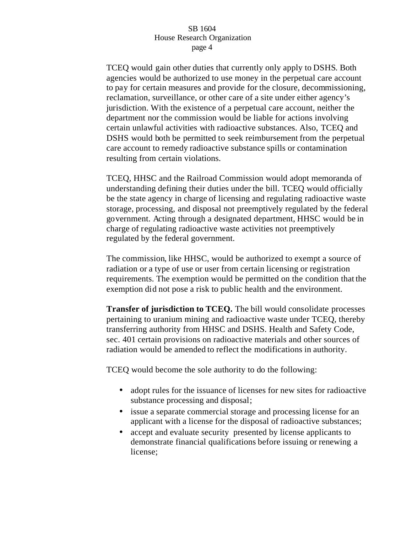TCEQ would gain other duties that currently only apply to DSHS. Both agencies would be authorized to use money in the perpetual care account to pay for certain measures and provide for the closure, decommissioning, reclamation, surveillance, or other care of a site under either agency's jurisdiction. With the existence of a perpetual care account, neither the department nor the commission would be liable for actions involving certain unlawful activities with radioactive substances. Also, TCEQ and DSHS would both be permitted to seek reimbursement from the perpetual care account to remedy radioactive substance spills or contamination resulting from certain violations.

TCEQ, HHSC and the Railroad Commission would adopt memoranda of understanding defining their duties under the bill. TCEQ would officially be the state agency in charge of licensing and regulating radioactive waste storage, processing, and disposal not preemptively regulated by the federal government. Acting through a designated department, HHSC would be in charge of regulating radioactive waste activities not preemptively regulated by the federal government.

The commission, like HHSC, would be authorized to exempt a source of radiation or a type of use or user from certain licensing or registration requirements. The exemption would be permitted on the condition that the exemption did not pose a risk to public health and the environment.

**Transfer of jurisdiction to TCEQ.** The bill would consolidate processes pertaining to uranium mining and radioactive waste under TCEQ, thereby transferring authority from HHSC and DSHS. Health and Safety Code, sec. 401 certain provisions on radioactive materials and other sources of radiation would be amended to reflect the modifications in authority.

TCEQ would become the sole authority to do the following:

- adopt rules for the issuance of licenses for new sites for radioactive substance processing and disposal;
- issue a separate commercial storage and processing license for an applicant with a license for the disposal of radioactive substances;
- accept and evaluate security presented by license applicants to demonstrate financial qualifications before issuing or renewing a license;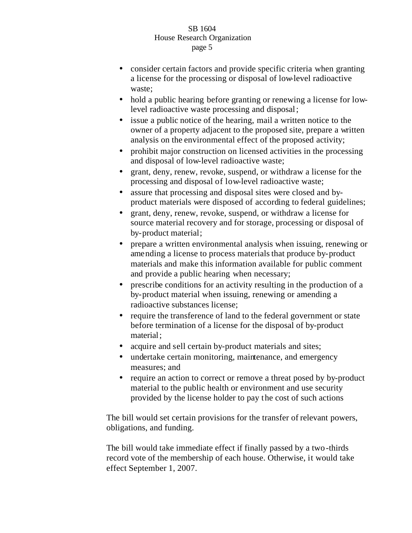- consider certain factors and provide specific criteria when granting a license for the processing or disposal of low-level radioactive waste;
- hold a public hearing before granting or renewing a license for lowlevel radioactive waste processing and disposal;
- issue a public notice of the hearing, mail a written notice to the owner of a property adjacent to the proposed site, prepare a written analysis on the environmental effect of the proposed activity;
- prohibit major construction on licensed activities in the processing and disposal of low-level radioactive waste;
- grant, deny, renew, revoke, suspend, or withdraw a license for the processing and disposal of low-level radioactive waste;
- assure that processing and disposal sites were closed and byproduct materials were disposed of according to federal guidelines;
- grant, deny, renew, revoke, suspend, or withdraw a license for source material recovery and for storage, processing or disposal of by-product material;
- prepare a written environmental analysis when issuing, renewing or amending a license to process materials that produce by-product materials and make this information available for public comment and provide a public hearing when necessary;
- prescribe conditions for an activity resulting in the production of a by-product material when issuing, renewing or amending a radioactive substances license;
- require the transference of land to the federal government or state before termination of a license for the disposal of by-product material;
- acquire and sell certain by-product materials and sites;
- undertake certain monitoring, maintenance, and emergency measures; and
- require an action to correct or remove a threat posed by by-product material to the public health or environment and use security provided by the license holder to pay the cost of such actions

The bill would set certain provisions for the transfer of relevant powers, obligations, and funding.

The bill would take immediate effect if finally passed by a two-thirds record vote of the membership of each house. Otherwise, it would take effect September 1, 2007.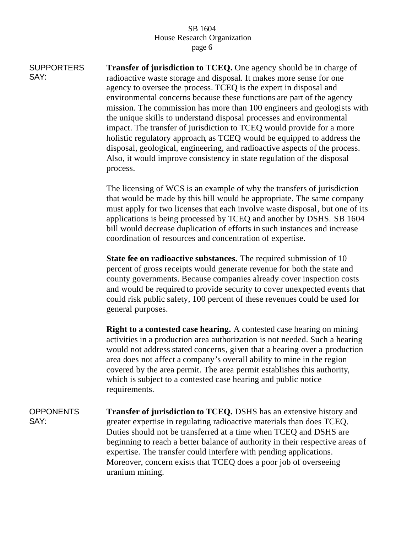SUPPORTERS SAY: **Transfer of jurisdiction to TCEQ.** One agency should be in charge of radioactive waste storage and disposal. It makes more sense for one agency to oversee the process. TCEQ is the expert in disposal and environmental concerns because these functions are part of the agency mission. The commission has more than 100 engineers and geologists with the unique skills to understand disposal processes and environmental impact. The transfer of jurisdiction to TCEQ would provide for a more holistic regulatory approach, as TCEQ would be equipped to address the disposal, geological, engineering, and radioactive aspects of the process. Also, it would improve consistency in state regulation of the disposal process.

> The licensing of WCS is an example of why the transfers of jurisdiction that would be made by this bill would be appropriate. The same company must apply for two licenses that each involve waste disposal, but one of its applications is being processed by TCEQ and another by DSHS. SB 1604 bill would decrease duplication of efforts in such instances and increase coordination of resources and concentration of expertise.

> **State fee on radioactive substances.** The required submission of 10 percent of gross receipts would generate revenue for both the state and county governments. Because companies already cover inspection costs and would be required to provide security to cover unexpected events that could risk public safety, 100 percent of these revenues could be used for general purposes.

> **Right to a contested case hearing.** A contested case hearing on mining activities in a production area authorization is not needed. Such a hearing would not address stated concerns, given that a hearing over a production area does not affect a company's overall ability to mine in the region covered by the area permit. The area permit establishes this authority, which is subject to a contested case hearing and public notice requirements.

**OPPONENTS** SAY: **Transfer of jurisdiction to TCEQ.** DSHS has an extensive history and greater expertise in regulating radioactive materials than does TCEQ. Duties should not be transferred at a time when TCEQ and DSHS are beginning to reach a better balance of authority in their respective areas of expertise. The transfer could interfere with pending applications. Moreover, concern exists that TCEQ does a poor job of overseeing uranium mining.